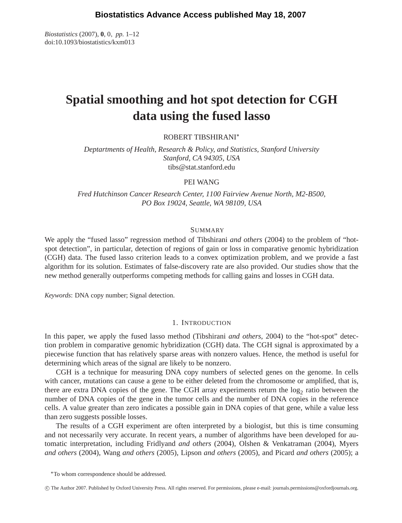*Biostatistics* (2007), **0**, 0, *pp.* 1–12 doi:10.1093/biostatistics/kxm013

# **Spatial smoothing and hot spot detection for CGH data using the fused lasso**

ROBERT TIBSHIRANI∗

*Deptartments of Health, Research & Policy, and Statistics, Stanford University Stanford, CA 94305, USA* tibs@stat.stanford.edu

## PEI WANG

*Fred Hutchinson Cancer Research Center, 1100 Fairview Avenue North, M2-B500, PO Box 19024, Seattle, WA 98109, USA*

# **SUMMARY**

We apply the "fused lasso" regression method of Tibshirani *and others* (2004) to the problem of "hotspot detection", in particular, detection of regions of gain or loss in comparative genomic hybridization (CGH) data. The fused lasso criterion leads to a convex optimization problem, and we provide a fast algorithm for its solution. Estimates of false-discovery rate are also provided. Our studies show that the new method generally outperforms competing methods for calling gains and losses in CGH data.

*Keywords*: DNA copy number; Signal detection.

# 1. INTRODUCTION

In this paper, we apply the fused lasso method (Tibshirani *and others*, 2004) to the "hot-spot" detection problem in comparative genomic hybridization (CGH) data. The CGH signal is approximated by a piecewise function that has relatively sparse areas with nonzero values. Hence, the method is useful for determining which areas of the signal are likely to be nonzero.

CGH is a technique for measuring DNA copy numbers of selected genes on the genome. In cells with cancer, mutations can cause a gene to be either deleted from the chromosome or amplified, that is, there are extra DNA copies of the gene. The CGH array experiments return the  $log_2$  ratio between the number of DNA copies of the gene in the tumor cells and the number of DNA copies in the reference cells. A value greater than zero indicates a possible gain in DNA copies of that gene, while a value less than zero suggests possible losses.

The results of a CGH experiment are often interpreted by a biologist, but this is time consuming and not necessarily very accurate. In recent years, a number of algorithms have been developed for automatic interpretation, including Fridlyand *and others* (2004), Olshen & Venkatraman (2004), Myers *and others* (2004), Wang *and others* (2005), Lipson *and others* (2005), and Picard *and others* (2005); a

∗To whom correspondence should be addressed.

-c The Author 2007. Published by Oxford University Press. All rights reserved. For permissions, please e-mail: journals.permissions@oxfordjournals.org.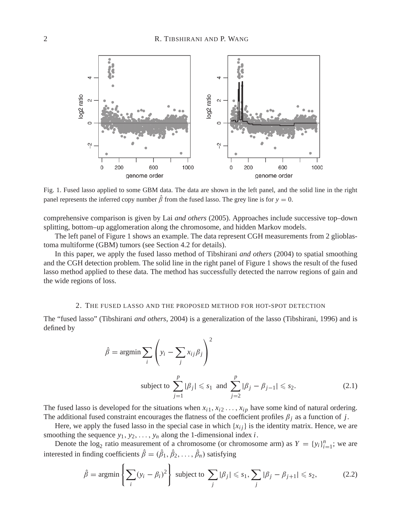

Fig. 1. Fused lasso applied to some GBM data. The data are shown in the left panel, and the solid line in the right panel represents the inferred copy number  $\hat{\beta}$  from the fused lasso. The grey line is for  $y = 0$ .

comprehensive comparison is given by Lai *and others* (2005). Approaches include successive top–down splitting, bottom–up agglomeration along the chromosome, and hidden Markov models.

The left panel of Figure 1 shows an example. The data represent CGH measurements from 2 glioblastoma multiforme (GBM) tumors (see Section 4.2 for details).

In this paper, we apply the fused lasso method of Tibshirani *and others* (2004) to spatial smoothing and the CGH detection problem. The solid line in the right panel of Figure 1 shows the result of the fused lasso method applied to these data. The method has successfully detected the narrow regions of gain and the wide regions of loss.

#### 2. THE FUSED LASSO AND THE PROPOSED METHOD FOR HOT-SPOT DETECTION

The "fused lasso" (Tibshirani *and others*, 2004) is a generalization of the lasso (Tibshirani, 1996) and is defined by

$$
\hat{\beta} = \operatorname{argmin} \sum_{i} \left( y_i - \sum_{j} x_{ij} \beta_j \right)^2
$$
  
subject to 
$$
\sum_{j=1}^{p} |\beta_j| \leq s_1 \text{ and } \sum_{j=2}^{p} |\beta_j - \beta_{j-1}| \leq s_2.
$$
 (2.1)

The fused lasso is developed for the situations when  $x_{i1}, x_{i2}, \ldots, x_{ip}$  have some kind of natural ordering. The additional fused constraint encourages the flatness of the coefficient profiles  $\beta_j$  as a function of *j*.

Here, we apply the fused lasso in the special case in which  ${x_{ij}}$  is the identity matrix. Hence, we are smoothing the sequence  $y_1, y_2, \ldots, y_n$  along the 1-dimensional index *i*.

Denote the  $\log_2$  ratio measurement of a chromosome (or chromosome arm) as  $Y = \{y_i\}_{i=1}^n$ ; we are interested in finding coefficients  $\hat{\beta} = (\hat{\beta}_1, \hat{\beta}_2, \dots, \hat{\beta}_n)$  satisfying

$$
\hat{\beta} = \operatorname{argmin}\left\{ \sum_{i} (y_i - \beta_i)^2 \right\} \text{ subject to } \sum_{j} |\beta_j| \leqslant s_1, \sum_{j} |\beta_j - \beta_{j+1}| \leqslant s_2,
$$
 (2.2)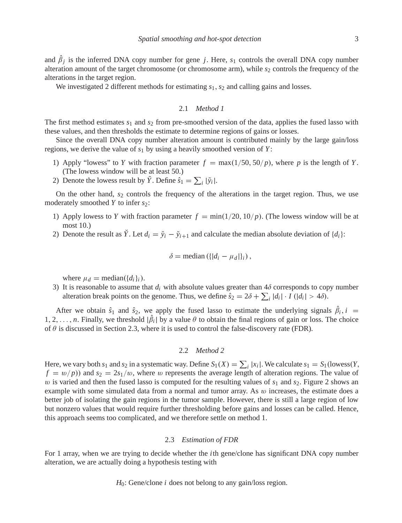and  $\hat{\beta}_j$  is the inferred DNA copy number for gene *j*. Here,  $s_1$  controls the overall DNA copy number alteration amount of the target chromosome (or chromosome arm), while  $s_2$  controls the frequency of the alterations in the target region.

We investigated 2 different methods for estimating  $s_1$ ,  $s_2$  and calling gains and losses.

#### 2.1 *Method 1*

The first method estimates *s*<sup>1</sup> and *s*<sup>2</sup> from pre-smoothed version of the data, applies the fused lasso with these values, and then thresholds the estimate to determine regions of gains or losses.

Since the overall DNA copy number alteration amount is contributed mainly by the large gain/loss regions, we derive the value of *s*<sup>1</sup> by using a heavily smoothed version of *Y* :

- 1) Apply "lowess" to *Y* with fraction parameter  $f = \max(1/50, 50/p)$ , where *p* is the length of *Y*. (The lowess window will be at least 50.)
- 2) Denote the lowess result by  $\tilde{Y}$ . Define  $\hat{s}_1 = \sum_i |\tilde{y}_i|$ .

On the other hand, *s*<sup>2</sup> controls the frequency of the alterations in the target region. Thus, we use moderately smoothed *Y* to infer *s*2:

- 1) Apply lowess to *Y* with fraction parameter  $f = min(1/20, 10/p)$ . (The lowess window will be at most 10.)
- 2) Denote the result as  $\check{Y}$ . Let  $d_i = \check{y}_i \check{y}_{i+1}$  and calculate the median absolute deviation of  $\{d_i\}$ :

$$
\delta = \text{median}\left(\{|d_i - \mu_d|\}_i\right),
$$

where  $\mu_d$  = median( $\{d_i\}_i$ ).

3) It is reasonable to assume that  $d_i$  with absolute values greater than  $4\delta$  corresponds to copy number alteration break points on the genome. Thus, we define  $\hat{s}_2 = 2\delta + \sum_i |d_i| \cdot I(|d_i| > 4\delta)$ .

After we obtain  $\hat{s}_1$  and  $\hat{s}_2$ , we apply the fused lasso to estimate the underlying signals  $\beta_i$ ,  $i =$ 1, 2, ..., *n*. Finally, we threshold  $|\beta_i|$  by a value  $\theta$  to obtain the final regions of gain or loss. The choice of  $\theta$  is discussed in Section 2.3, where it is used to control the false-discovery rate (FDR).

#### 2.2 *Method 2*

Here, we vary both  $s_1$  and  $s_2$  in a systematic way. Define  $S_1(X) = \sum_i |x_i|$ . We calculate  $s_1 = S_1(\text{lowest}(Y,$  $f = w/p$ ) and  $s_2 = 2s_1/w$ , where w represents the average length of alteration regions. The value of w is varied and then the fused lasso is computed for the resulting values of  $s_1$  and  $s_2$ . Figure 2 shows an example with some simulated data from a normal and tumor array. As  $w$  increases, the estimate does a better job of isolating the gain regions in the tumor sample. However, there is still a large region of low but nonzero values that would require further thresholding before gains and losses can be called. Hence, this approach seems too complicated, and we therefore settle on method 1.

#### 2.3 *Estimation of FDR*

For 1 array, when we are trying to decide whether the *i*th gene/clone has significant DNA copy number alteration, we are actually doing a hypothesis testing with

## *H*<sub>0</sub>: Gene/clone *i* does not belong to any gain/loss region.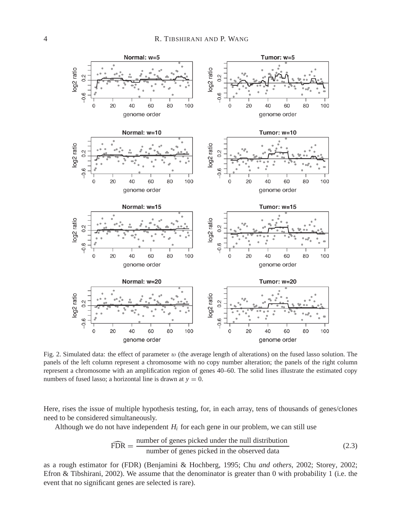

Fig. 2. Simulated data: the effect of parameter  $w$  (the average length of alterations) on the fused lasso solution. The panels of the left column represent a chromosome with no copy number alteration; the panels of the right column represent a chromosome with an amplification region of genes 40–60. The solid lines illustrate the estimated copy numbers of fused lasso; a horizontal line is drawn at  $y = 0$ .

Here, rises the issue of multiple hypothesis testing, for, in each array, tens of thousands of genes/clones need to be considered simultaneously.

Although we do not have independent  $H_i$  for each gene in our problem, we can still use

$$
\widehat{FDR} = \frac{\text{number of genes picked under the null distribution}}{\text{number of genes picked in the observed data}} \tag{2.3}
$$

as a rough estimator for (FDR) (Benjamini & Hochberg, 1995; Chu *and others*, 2002; Storey, 2002; Efron & Tibshirani, 2002). We assume that the denominator is greater than 0 with probability 1 (i.e. the event that no significant genes are selected is rare).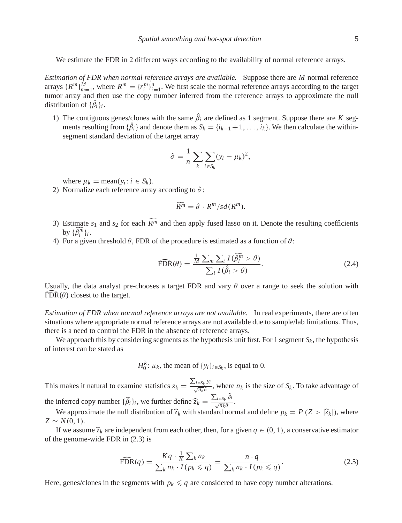We estimate the FDR in 2 different ways according to the availability of normal reference arrays.

*Estimation of FDR when normal reference arrays are available.* Suppose there are *M* normal reference arrays  $\{R^m\}_{m=1}^M$ , where  $R^m = \{r_i^m\}_{i=1}^n$ . We first scale the normal reference arrays according to the target tumor array and then use the copy number inferred from the reference arrays to approximate the null distribution of  $\{\beta_i\}_i$ .

1) The contiguous genes/clones with the same  $\beta_i$  are defined as 1 segment. Suppose there are *K* segments resulting from  $\{\beta_i\}$  and denote them as  $S_k = \{i_{k-1}+1,\ldots,i_k\}$ . We then calculate the withinsegment standard deviation of the target array

$$
\hat{\sigma} = \frac{1}{n} \sum_{k} \sum_{i \in S_k} (y_i - \mu_k)^2,
$$

where  $\mu_k = \text{mean}(y_i : i \in S_k)$ .

2) Normalize each reference array according to  $\hat{\sigma}$ :

$$
\widetilde{R^m} = \hat{\sigma} \cdot R^m/sd(R^m).
$$

- 3) Estimate  $s_1$  and  $s_2$  for each  $R^m$  and then apply fused lasso on it. Denote the resulting coefficients by  $\{\widetilde{\beta_i^m}\}_i$ .
- 4) For a given threshold  $\theta$ , FDR of the procedure is estimated as a function of  $\theta$ :

$$
\widehat{\text{FDR}}(\theta) = \frac{\frac{1}{M} \sum_{m} \sum_{i} I(\widehat{\beta}_{i}^{m} > \theta)}{\sum_{i} I(\widehat{\beta}_{i} > \theta)}.
$$
\n(2.4)

Usually, the data analyst pre-chooses a target FDR and vary  $\theta$  over a range to seek the solution with  $FDR(\theta)$  closest to the target.

*Estimation of FDR when normal reference arrays are not available.* In real experiments, there are often situations where appropriate normal reference arrays are not available due to sample/lab limitations. Thus, there is a need to control the FDR in the absence of reference arrays.

We approach this by considering segments as the hypothesis unit first. For 1 segment  $S_k$ , the hypothesis of interest can be stated as

$$
H_0^k
$$
:  $\mu_k$ , the mean of  $\{y_i\}_{i \in S_k}$ , is equal to 0.

This makes it natural to examine statistics  $z_k = \frac{\sum_{i \in S_k} y_i}{\sqrt{n_k} \hat{\sigma}}$ , where  $n_k$  is the size of  $S_k$ . To take advantage of the inferred copy number  $\{\widehat{\beta}_i\}_i$ , we further define  $\widehat{z}_k = \frac{\sum_{i \in S_k} \widehat{\beta}_i}{\sqrt{n_k} \widehat{\sigma}}$ .

We approximate the null distribution of  $\hat{z}_k$  with standard normal and define  $p_k = P(Z > |\hat{z}_k|)$ , where  $Z \sim N(0, 1)$ .

If we assume  $\hat{z}_k$  are independent from each other, then, for a given  $q \in (0, 1)$ , a conservative estimator of the genome-wide FDR in (2.3) is

$$
\widehat{\text{FDR}}(q) = \frac{Kq \cdot \frac{1}{K} \sum_{k} n_k}{\sum_{k} n_k \cdot I(p_k \leqslant q)} = \frac{n \cdot q}{\sum_{k} n_k \cdot I(p_k \leqslant q)}.
$$
\n(2.5)

Here, genes/clones in the segments with  $p_k \leq q$  are considered to have copy number alterations.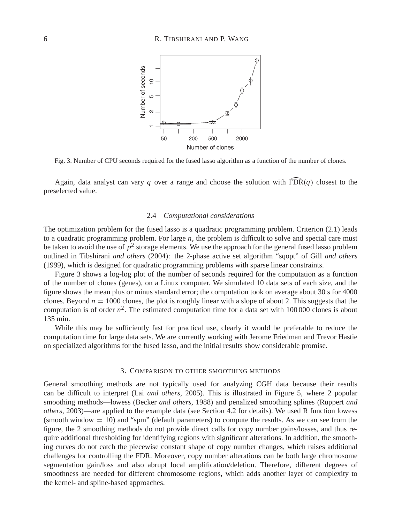

Fig. 3. Number of CPU seconds required for the fused lasso algorithm as a function of the number of clones.

Again, data analyst can vary *q* over a range and choose the solution with  $\widehat{FDR}(q)$  closest to the preselected value.

### 2.4 *Computational considerations*

The optimization problem for the fused lasso is a quadratic programming problem. Criterion (2.1) leads to a quadratic programming problem. For large *n*, the problem is difficult to solve and special care must be taken to avoid the use of  $p<sup>2</sup>$  storage elements. We use the approach for the general fused lasso problem outlined in Tibshirani *and others* (2004): the 2-phase active set algorithm "sqopt" of Gill *and others* (1999), which is designed for quadratic programming problems with sparse linear constraints.

Figure 3 shows a log-log plot of the number of seconds required for the computation as a function of the number of clones (genes), on a Linux computer. We simulated 10 data sets of each size, and the figure shows the mean plus or minus standard error; the computation took on average about 30 s for 4000 clones. Beyond *n* = 1000 clones, the plot is roughly linear with a slope of about 2. This suggests that the computation is of order  $n^2$ . The estimated computation time for a data set with 100 000 clones is about 135 min.

While this may be sufficiently fast for practical use, clearly it would be preferable to reduce the computation time for large data sets. We are currently working with Jerome Friedman and Trevor Hastie on specialized algorithms for the fused lasso, and the initial results show considerable promise.

## 3. COMPARISON TO OTHER SMOOTHING METHODS

General smoothing methods are not typically used for analyzing CGH data because their results can be difficult to interpret (Lai *and others*, 2005). This is illustrated in Figure 5, where 2 popular smoothing methods—lowess (Becker *and others*, 1988) and penalized smoothing splines (Ruppert *and others*, 2003)—are applied to the example data (see Section 4.2 for details). We used R function lowess (smooth window = 10) and "spm" (default parameters) to compute the results. As we can see from the figure, the 2 smoothing methods do not provide direct calls for copy number gains/losses, and thus require additional thresholding for identifying regions with significant alterations. In addition, the smoothing curves do not catch the piecewise constant shape of copy number changes, which raises additional challenges for controlling the FDR. Moreover, copy number alterations can be both large chromosome segmentation gain/loss and also abrupt local amplification/deletion. Therefore, different degrees of smoothness are needed for different chromosome regions, which adds another layer of complexity to the kernel- and spline-based approaches.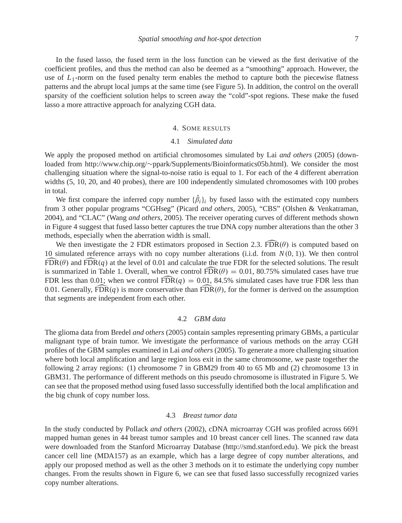In the fused lasso, the fused term in the loss function can be viewed as the first derivative of the coefficient profiles, and thus the method can also be deemed as a "smoothing" approach. However, the use of  $L_1$ -norm on the fused penalty term enables the method to capture both the piecewise flatness patterns and the abrupt local jumps at the same time (see Figure 5). In addition, the control on the overall sparsity of the coefficient solution helps to screen away the "cold"-spot regions. These make the fused lasso a more attractive approach for analyzing CGH data.

### 4. SOME RESULTS

## 4.1 *Simulated data*

We apply the proposed method on artificial chromosomes simulated by Lai *and others* (2005) (downloaded from http://www.chip.org/∼ppark/Supplements/Bioinformatics05b.html). We consider the most challenging situation where the signal-to-noise ratio is equal to 1. For each of the 4 different aberration widths (5, 10, 20, and 40 probes), there are 100 independently simulated chromosomes with 100 probes in total.

We first compare the inferred copy number  $\{\beta_i\}_i$  by fused lasso with the estimated copy numbers from 3 other popular programs "CGHseg" (Picard *and others*, 2005), "CBS" (Olshen & Venkatraman, 2004), and "CLAC" (Wang *and others*, 2005). The receiver operating curves of different methods shown in Figure 4 suggest that fused lasso better captures the true DNA copy number alterations than the other 3 methods, especially when the aberration width is small.

We then investigate the 2 FDR estimators proposed in Section 2.3. FDR $(\theta)$  is computed based on 10 simulated reference arrays with no copy number alterations (i.i.d. from *N*(0, 1)). We then control  $FDR(\theta)$  and  $FDR(q)$  at the level of 0.01 and calculate the true FDR for the selected solutions. The result is summarized in Table 1. Overall, when we control  $\widehat{FDR}(\theta) = 0.01, 80.75\%$  simulated cases have true FDR less than 0.01; when we control  $\widehat{FDR}(q) = 0.01$ , 84.5% simulated cases have true FDR less than 0.01. Generally,  $\widehat{FDR}(q)$  is more conservative than  $\widehat{FDR}(\theta)$ , for the former is derived on the assumption that segments are independent from each other.

### 4.2 *GBM data*

The glioma data from Bredel *and others* (2005) contain samples representing primary GBMs, a particular malignant type of brain tumor. We investigate the performance of various methods on the array CGH profiles of the GBM samples examined in Lai *and others* (2005). To generate a more challenging situation where both local amplification and large region loss exit in the same chromosome, we paste together the following 2 array regions: (1) chromosome 7 in GBM29 from 40 to 65 Mb and (2) chromosome 13 in GBM31. The performance of different methods on this pseudo chromosome is illustrated in Figure 5. We can see that the proposed method using fused lasso successfully identified both the local amplification and the big chunk of copy number loss.

## 4.3 *Breast tumor data*

In the study conducted by Pollack *and others* (2002), cDNA microarray CGH was profiled across 6691 mapped human genes in 44 breast tumor samples and 10 breast cancer cell lines. The scanned raw data were downloaded from the Stanford Microarray Database (http://smd.stanford.edu). We pick the breast cancer cell line (MDA157) as an example, which has a large degree of copy number alterations, and apply our proposed method as well as the other 3 methods on it to estimate the underlying copy number changes. From the results shown in Figure 6, we can see that fused lasso successfully recognized varies copy number alterations.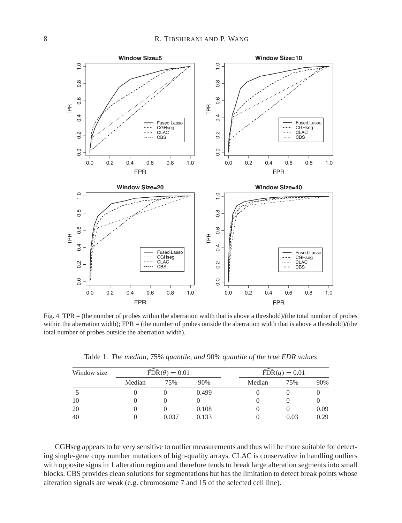

Fig. 4. TPR = (the number of probes within the aberration width that is above a threshold)/(the total number of probes within the aberration width); FPR = (the number of probes outside the aberration width that is above a threshold)/(the total number of probes outside the aberration width).

| Window size | $\widehat{\text{FDR}}(\theta) = 0.01$ |       |       | $\widehat{\text{FDR}}(q) = 0.01$ |      |      |
|-------------|---------------------------------------|-------|-------|----------------------------------|------|------|
|             | Median                                | 75%   | 90%   | Median                           | 75%  | 90%  |
|             |                                       |       | 0.499 |                                  |      |      |
| 10          |                                       |       |       |                                  |      |      |
| 20          |                                       |       | 0.108 |                                  |      | 0.09 |
| 40          |                                       | 0.037 | 0.133 |                                  | 0.03 | 0.29 |

Table 1. *The median,* 75% *quantile, and* 90% *quantile of the true FDR values*

CGHseg appears to be very sensitive to outlier measurements and thus will be more suitable for detecting single-gene copy number mutations of high-quality arrays. CLAC is conservative in handling outliers with opposite signs in 1 alteration region and therefore tends to break large alteration segments into small blocks. CBS provides clean solutions for segmentations but has the limitation to detect break points whose alteration signals are weak (e.g. chromosome 7 and 15 of the selected cell line).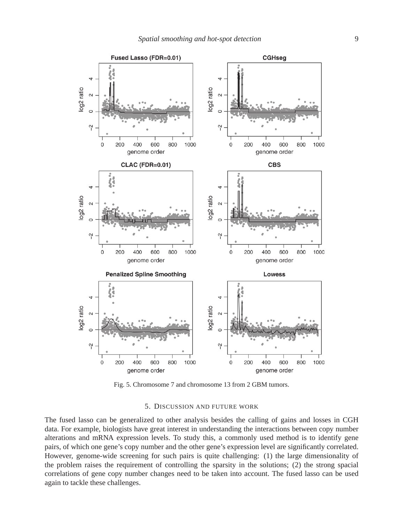

Fig. 5. Chromosome 7 and chromosome 13 from 2 GBM tumors.

#### 5. DISCUSSION AND FUTURE WORK

The fused lasso can be generalized to other analysis besides the calling of gains and losses in CGH data. For example, biologists have great interest in understanding the interactions between copy number alterations and mRNA expression levels. To study this, a commonly used method is to identify gene pairs, of which one gene's copy number and the other gene's expression level are significantly correlated. However, genome-wide screening for such pairs is quite challenging: (1) the large dimensionality of the problem raises the requirement of controlling the sparsity in the solutions; (2) the strong spacial correlations of gene copy number changes need to be taken into account. The fused lasso can be used again to tackle these challenges.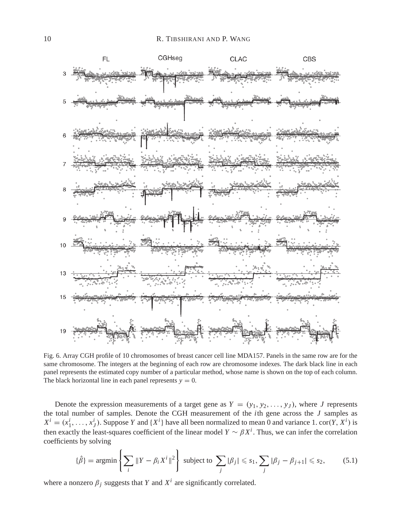

Fig. 6. Array CGH profile of 10 chromosomes of breast cancer cell line MDA157. Panels in the same row are for the same chromosome. The integers at the beginning of each row are chromosome indexes. The dark black line in each panel represents the estimated copy number of a particular method, whose name is shown on the top of each column. The black horizontal line in each panel represents  $y = 0$ .

Denote the expression measurements of a target gene as  $Y = (y_1, y_2, \ldots, y_J)$ , where *J* represents the total number of samples. Denote the CGH measurement of the *i*th gene across the *J* samples as  $X^i = (x_1^i, \ldots, x_J^i)$ . Suppose *Y* and  $\{X^i\}$  have all been normalized to mean 0 and variance 1. cor(*Y*,  $X^i$ ) is then exactly the least-squares coefficient of the linear model  $Y \sim \beta X^i$ . Thus, we can infer the correlation coefficients by solving

$$
\{\hat{\beta}\} = \operatorname{argmin}\left\{ \sum_{i} \|Y - \beta_i X^i\|^2 \right\} \text{ subject to } \sum_{j} |\beta_j| \leq s_1, \sum_{j} |\beta_j - \beta_{j+1}| \leq s_2, \quad (5.1)
$$

where a nonzero  $\beta_j$  suggests that *Y* and  $X^i$  are significantly correlated.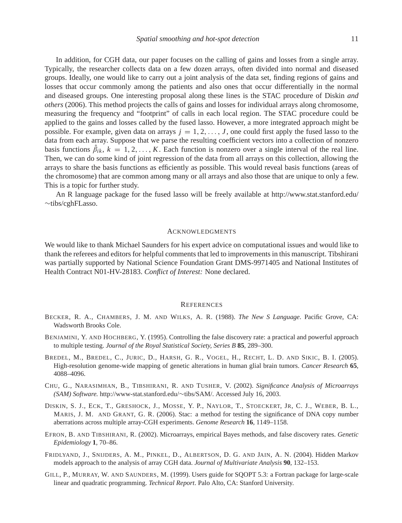In addition, for CGH data, our paper focuses on the calling of gains and losses from a single array. Typically, the researcher collects data on a few dozen arrays, often divided into normal and diseased groups. Ideally, one would like to carry out a joint analysis of the data set, finding regions of gains and losses that occur commonly among the patients and also ones that occur differentially in the normal and diseased groups. One interesting proposal along these lines is the STAC procedure of Diskin *and others* (2006). This method projects the calls of gains and losses for individual arrays along chromosome, measuring the frequency and "footprint" of calls in each local region. The STAC procedure could be applied to the gains and losses called by the fused lasso. However, a more integrated approach might be possible. For example, given data on arrays  $j = 1, 2, \ldots, J$ , one could first apply the fused lasso to the data from each array. Suppose that we parse the resulting coefficient vectors into a collection of nonzero basis functions  $\beta_{ik}$ ,  $k = 1, 2, ..., K$ . Each function is nonzero over a single interval of the real line. Then, we can do some kind of joint regression of the data from all arrays on this collection, allowing the arrays to share the basis functions as efficiently as possible. This would reveal basis functions (areas of the chromosome) that are common among many or all arrays and also those that are unique to only a few.

An R language package for the fused lasso will be freely available at http://www.stat.stanford.edu/ ∼tibs/cghFLasso.

This is a topic for further study.

#### ACKNOWLEDGMENTS

We would like to thank Michael Saunders for his expert advice on computational issues and would like to thank the referees and editors for helpful comments that led to improvements in this manuscript. Tibshirani was partially supported by National Science Foundation Grant DMS-9971405 and National Institutes of Health Contract N01-HV-28183. *Conflict of Interest:* None declared.

#### **REFERENCES**

- BECKER, R. A., CHAMBERS, J. M. AND WILKS, A. R. (1988). *The New S Language*. Pacific Grove, CA: Wadsworth Brooks Cole.
- BENJAMINI, Y. AND HOCHBERG, Y. (1995). Controlling the false discovery rate: a practical and powerful approach to multiple testing. *Journal of the Royal Statistical Society, Series B* **85**, 289–300.
- BREDEL, M., BREDEL, C., JURIC, D., HARSH, G. R., VOGEL, H., RECHT, L. D. AND SIKIC, B. I. (2005). High-resolution genome-wide mapping of genetic alterations in human glial brain tumors. *Cancer Research* **65**, 4088–4096.
- CHU, G., NARASIMHAN, B., TIBSHIRANI, R. AND TUSHER, V. (2002). *Significance Analysis of Microarrays (SAM) Software.* http://www-stat.stanford.edu/∼tibs/SAM/. Accessed July 16, 2003.
- DISKIN, S. J., ECK, T., GRESHOCK, J., MOSSE, Y. P., NAYLOR, T., STOECKERT, JR, C. J., WEBER, B. L., MARIS, J. M. AND GRANT, G. R. (2006). Stac: a method for testing the significance of DNA copy number aberrations across multiple array-CGH experiments. *Genome Research* **16**, 1149–1158.
- EFRON, B. AND TIBSHIRANI, R. (2002). Microarrays, empirical Bayes methods, and false discovery rates. *Genetic Epidemiology* **1**, 70–86.
- FRIDLYAND, J., SNIJDERS, A. M., PINKEL, D., ALBERTSON, D. G. AND JAIN, A. N. (2004). Hidden Markov models approach to the analysis of array CGH data. *Journal of Multivariate Analysis* **90**, 132–153.
- GILL, P., MURRAY, W. AND SAUNDERS, M. (1999). Users guide for SQOPT 5.3: a Fortran package for large-scale linear and quadratic programming. *Technical Report*. Palo Alto, CA: Stanford University.